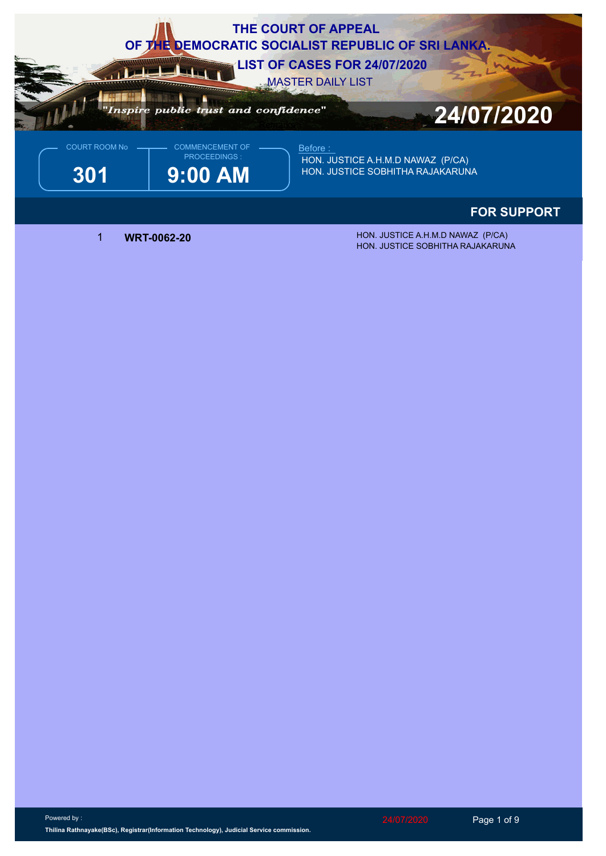

## **FOR SUPPORT**

 1 **WRT-0062-20** HON. JUSTICE A.H.M.D NAWAZ (P/CA) HON. JUSTICE SOBHITHA RAJAKARUNA

Powered by : **Thilina Rathnayake(BSc), Registrar(Information Technology), Judicial Service commission.**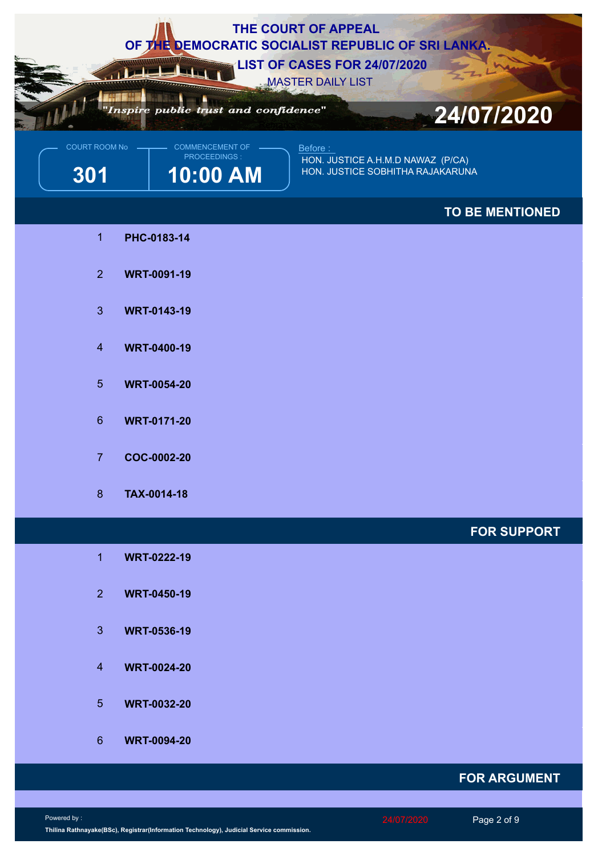

## **FOR ARGUMENT**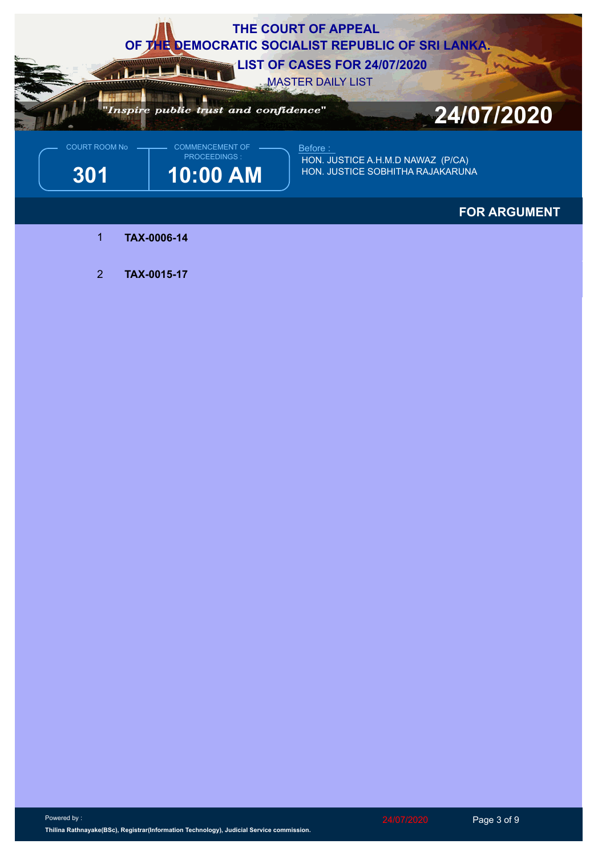

## **FOR ARGUMENT**

- 1 **TAX-0006-14**
- 2 **TAX-0015-17**

Powered by : **Thilina Rathnayake(BSc), Registrar(Information Technology), Judicial Service commission.** 24/07/2020 Page 3 of 9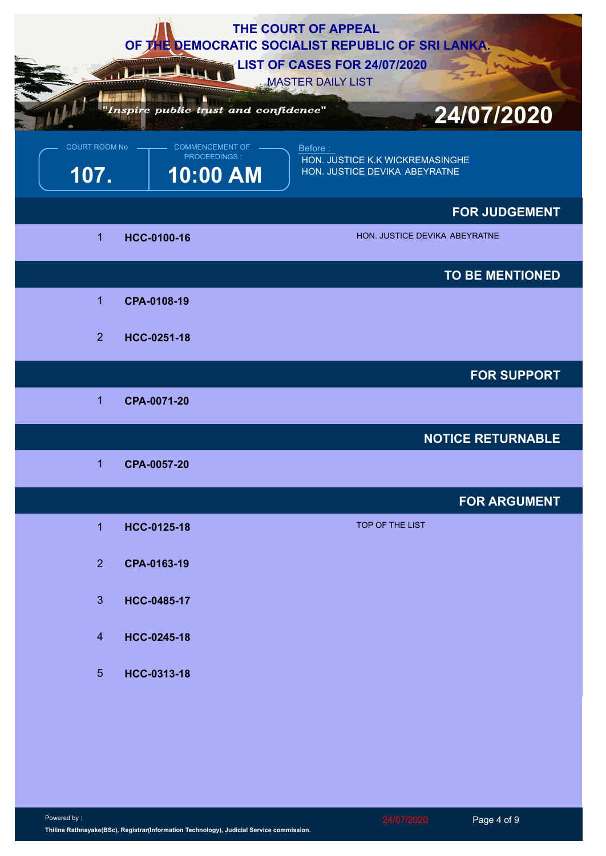|                              |                                                    | THE COURT OF APPEAL<br>OF THE DEMOCRATIC SOCIALIST REPUBLIC OF SRI LANKA.<br><b>LIST OF CASES FOR 24/07/2020</b><br><b>MASTER DAILY LIST</b> |
|------------------------------|----------------------------------------------------|----------------------------------------------------------------------------------------------------------------------------------------------|
|                              | "Inspire public trust and confidence"              | 24/07/2020                                                                                                                                   |
| <b>COURT ROOM No</b><br>107. | <b>COMMENCEMENT OF</b><br>PROCEEDINGS:<br>10:00 AM | Before:<br>HON. JUSTICE K.K WICKREMASINGHE<br>HON. JUSTICE DEVIKA ABEYRATNE                                                                  |
|                              |                                                    | <b>FOR JUDGEMENT</b>                                                                                                                         |
| $\mathbf{1}$                 | HCC-0100-16                                        | HON. JUSTICE DEVIKA ABEYRATNE                                                                                                                |
|                              |                                                    | <b>TO BE MENTIONED</b>                                                                                                                       |
| $\overline{1}$               | CPA-0108-19                                        |                                                                                                                                              |
| 2 <sup>1</sup>               | HCC-0251-18                                        |                                                                                                                                              |
|                              |                                                    | <b>FOR SUPPORT</b>                                                                                                                           |
| 1                            | CPA-0071-20                                        |                                                                                                                                              |
|                              |                                                    | <b>NOTICE RETURNABLE</b>                                                                                                                     |
| $\mathbf{1}$                 | CPA-0057-20                                        |                                                                                                                                              |
|                              |                                                    | <b>FOR ARGUMENT</b>                                                                                                                          |
| $\overline{1}$               | HCC-0125-18                                        | TOP OF THE LIST                                                                                                                              |
| 2 <sup>1</sup>               | CPA-0163-19                                        |                                                                                                                                              |
| 3 <sup>1</sup>               | HCC-0485-17                                        |                                                                                                                                              |
| $\overline{4}$               | HCC-0245-18                                        |                                                                                                                                              |
|                              |                                                    |                                                                                                                                              |
| 5 <sup>5</sup>               | HCC-0313-18                                        |                                                                                                                                              |
|                              |                                                    |                                                                                                                                              |
|                              |                                                    |                                                                                                                                              |
|                              |                                                    |                                                                                                                                              |
|                              |                                                    |                                                                                                                                              |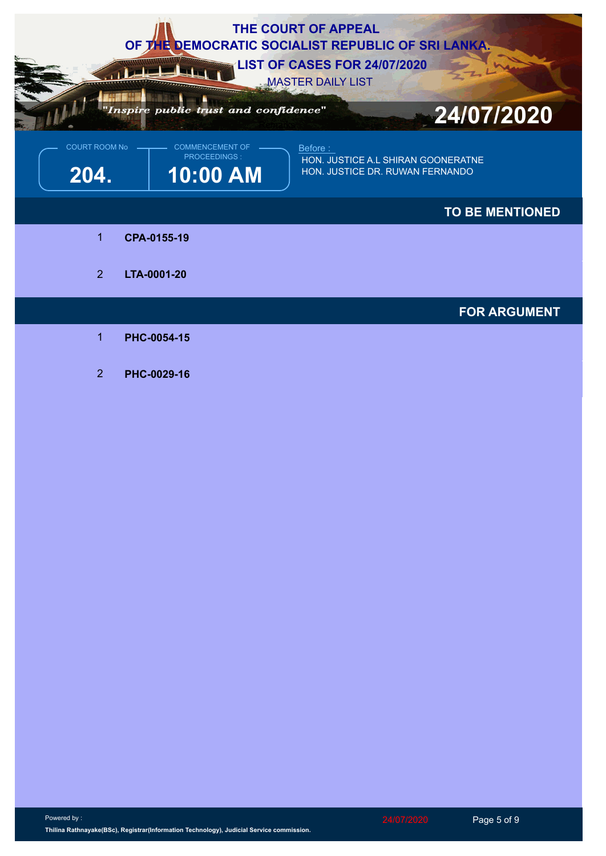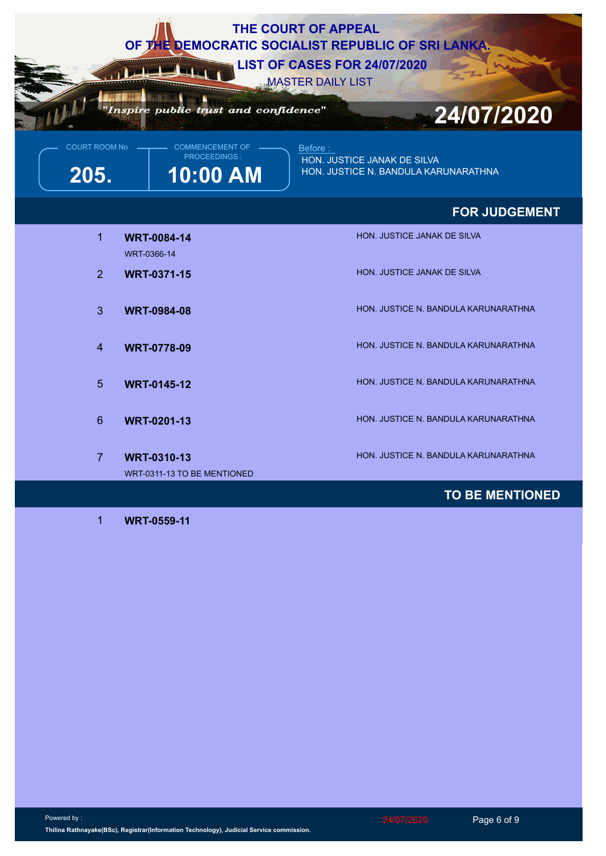| THE COURT OF APPEAL<br>OF THE DEMOCRATIC SOCIALIST REPUBLIC OF SRI LANKA.<br><b>LIST OF CASES FOR 24/07/2020</b><br><b>MASTER DAILY LIST</b><br>Inspire public trust and confidence"<br>24/07/2020 |                                                           |                                                                                 |  |  |
|----------------------------------------------------------------------------------------------------------------------------------------------------------------------------------------------------|-----------------------------------------------------------|---------------------------------------------------------------------------------|--|--|
| <b>COURT ROOM No</b><br>205.                                                                                                                                                                       | <b>COMMENCEMENT OF</b><br><b>PROCEEDINGS:</b><br>10:00 AM | Before :<br>HON. JUSTICE JANAK DE SILVA<br>HON. JUSTICE N. BANDULA KARUNARATHNA |  |  |
|                                                                                                                                                                                                    |                                                           | <b>FOR JUDGEMENT</b>                                                            |  |  |
| $\mathbf{1}$                                                                                                                                                                                       | <b>WRT-0084-14</b><br>WRT-0366-14                         | <b>HON. JUSTICE JANAK DE SILVA</b>                                              |  |  |
| $\overline{2}$                                                                                                                                                                                     | <b>WRT-0371-15</b>                                        | HON. JUSTICE JANAK DE SILVA                                                     |  |  |
| 3                                                                                                                                                                                                  | <b>WRT-0984-08</b>                                        | HON. JUSTICE N. BANDULA KARUNARATHNA                                            |  |  |
| $\overline{4}$                                                                                                                                                                                     | <b>WRT-0778-09</b>                                        | HON. JUSTICE N. BANDULA KARUNARATHNA                                            |  |  |
| $5\overline{)}$                                                                                                                                                                                    | <b>WRT-0145-12</b>                                        | HON. JUSTICE N. BANDULA KARUNARATHNA                                            |  |  |
| $6\phantom{1}$                                                                                                                                                                                     | <b>WRT-0201-13</b>                                        | HON. JUSTICE N. BANDULA KARUNARATHNA                                            |  |  |
| $\overline{7}$                                                                                                                                                                                     | <b>WRT-0310-13</b><br>WRT-0311-13 TO BE MENTIONED         | HON. JUSTICE N. BANDULA KARUNARATHNA                                            |  |  |
|                                                                                                                                                                                                    |                                                           | <b>TO BE MENTIONED</b>                                                          |  |  |

1 **WRT-0559-11**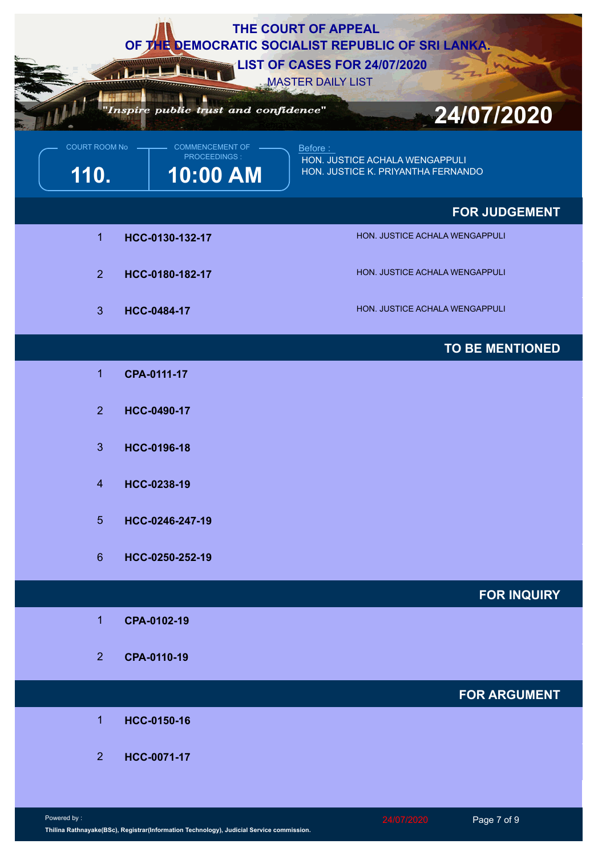|                       |                 |                                                    | THE COURT OF APPEAL<br>OF THE DEMOCRATIC SOCIALIST REPUBLIC OF SRI LANKA.<br><b>LIST OF CASES FOR 24/07/2020</b> |
|-----------------------|-----------------|----------------------------------------------------|------------------------------------------------------------------------------------------------------------------|
|                       |                 | "Inspire public trust and confidence"              | <b>MASTER DAILY LIST</b><br>24/07/2020                                                                           |
| COURT ROOM No<br>110. |                 | <b>COMMENCEMENT OF</b><br>PROCEEDINGS:<br>10:00 AM | Before:<br>HON. JUSTICE ACHALA WENGAPPULI<br>HON. JUSTICE K. PRIYANTHA FERNANDO                                  |
|                       |                 |                                                    | <b>FOR JUDGEMENT</b>                                                                                             |
|                       | 1               | HCC-0130-132-17                                    | HON. JUSTICE ACHALA WENGAPPULI                                                                                   |
|                       | 2               | HCC-0180-182-17                                    | HON. JUSTICE ACHALA WENGAPPULI                                                                                   |
|                       | $\mathbf{3}$    | <b>HCC-0484-17</b>                                 | HON. JUSTICE ACHALA WENGAPPULI                                                                                   |
|                       |                 |                                                    | <b>TO BE MENTIONED</b>                                                                                           |
|                       | 1               | CPA-0111-17                                        |                                                                                                                  |
|                       | 2 <sup>1</sup>  | HCC-0490-17                                        |                                                                                                                  |
|                       | 3 <sup>1</sup>  | HCC-0196-18                                        |                                                                                                                  |
|                       | $\overline{4}$  | HCC-0238-19                                        |                                                                                                                  |
|                       | 5 <sup>5</sup>  | HCC-0246-247-19                                    |                                                                                                                  |
|                       | $6\overline{6}$ | HCC-0250-252-19                                    |                                                                                                                  |
|                       |                 |                                                    | <b>FOR INQUIRY</b>                                                                                               |
|                       | 1               | CPA-0102-19                                        |                                                                                                                  |
|                       | 2 <sup>2</sup>  | CPA-0110-19                                        |                                                                                                                  |
|                       |                 |                                                    | <b>FOR ARGUMENT</b>                                                                                              |
|                       | $\overline{1}$  | HCC-0150-16                                        |                                                                                                                  |
|                       | 2 <sup>1</sup>  | HCC-0071-17                                        |                                                                                                                  |
|                       |                 |                                                    |                                                                                                                  |
| Powered by:           |                 |                                                    | Page 7 of 9<br>24/07/2020                                                                                        |

**Thilina Rathnayake(BSc), Registrar(Information Technology), Judicial Service commission.**

24/07/2020 Page 7 of 9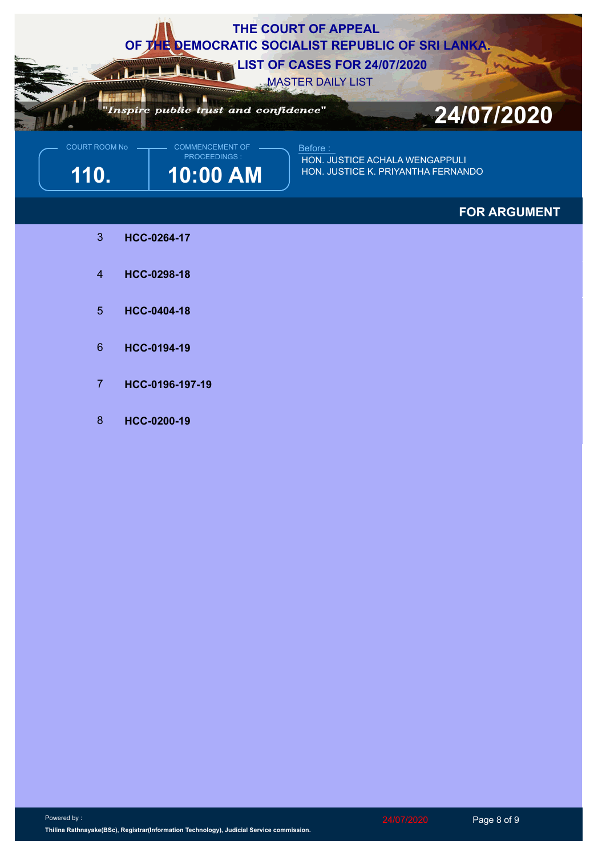

**110. 10:00 AM**  $\parallel$  <sup>HON. JUSTICE K. PRIYANTHA FERNANDO</sup> **HON. JUSTICE ACHALA WENGAPPULI** 

## **FOR ARGUMENT**

- 3 **HCC-0264-17**
- 4 **HCC-0298-18**
- 5 **HCC-0404-18**
- 6 **HCC-0194-19**
- 7 **HCC-0196-197-19**
- 8 **HCC-0200-19**